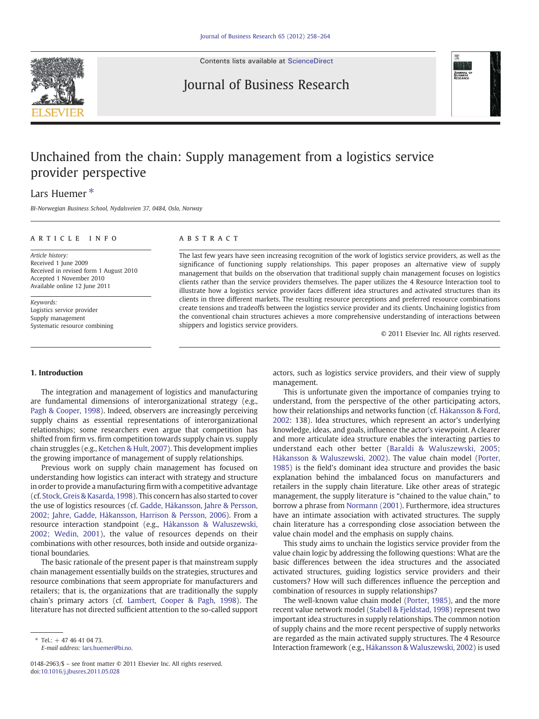

Contents lists available at [ScienceDirect](http://www.sciencedirect.com/science/journal/01482963)

# Journal of Business Research



# Unchained from the chain: Supply management from a logistics service provider perspective

## Lars Huemer<sup>\*</sup>

BI-Norwegian Business School, Nydalsveien 37, 0484, Oslo, Norway

### ARTICLE INFO ABSTRACT

Article history: Received 1 June 2009 Received in revised form 1 August 2010 Accepted 1 November 2010 Available online 12 June 2011

Keywords: Logistics service provider Supply management Systematic resource combining

The last few years have seen increasing recognition of the work of logistics service providers, as well as the significance of functioning supply relationships. This paper proposes an alternative view of supply management that builds on the observation that traditional supply chain management focuses on logistics clients rather than the service providers themselves. The paper utilizes the 4 Resource Interaction tool to illustrate how a logistics service provider faces different idea structures and activated structures than its clients in three different markets. The resulting resource perceptions and preferred resource combinations create tensions and tradeoffs between the logistics service provider and its clients. Unchaining logistics from the conventional chain structures achieves a more comprehensive understanding of interactions between shippers and logistics service providers.

© 2011 Elsevier Inc. All rights reserved.

#### 1. Introduction

The integration and management of logistics and manufacturing are fundamental dimensions of interorganizational strategy (e.g., [Pagh & Cooper, 1998\)](#page--1-0). Indeed, observers are increasingly perceiving supply chains as essential representations of interorganizational relationships; some researchers even argue that competition has shifted from firm vs. firm competition towards supply chain vs. supply chain struggles (e.g., [Ketchen & Hult, 2007\)](#page--1-0). This development implies the growing importance of management of supply relationships.

Previous work on supply chain management has focused on understanding how logistics can interact with strategy and structure in order to provide a manufacturing firm with a competitive advantage (cf. [Stock, Greis & Kasarda, 1998\)](#page--1-0). This concern has also started to cover the use of logistics resources (cf. [Gadde, Håkansson, Jahre & Persson,](#page--1-0) [2002; Jahre, Gadde, Håkansson, Harrison & Persson, 2006\)](#page--1-0). From a resource interaction standpoint (e.g., [Håkansson & Waluszewski,](#page--1-0) [2002; Wedin, 2001\)](#page--1-0), the value of resources depends on their combinations with other resources, both inside and outside organizational boundaries.

The basic rationale of the present paper is that mainstream supply chain management essentially builds on the strategies, structures and resource combinations that seem appropriate for manufacturers and retailers; that is, the organizations that are traditionally the supply chain's primary actors (cf. [Lambert, Cooper & Pagh, 1998](#page--1-0)). The literature has not directed sufficient attention to the so-called support actors, such as logistics service providers, and their view of supply management.

This is unfortunate given the importance of companies trying to understand, from the perspective of the other participating actors, how their relationships and networks function (cf. [Håkansson & Ford,](#page--1-0) [2002:](#page--1-0) 138). Idea structures, which represent an actor's underlying knowledge, ideas, and goals, influence the actor's viewpoint. A clearer and more articulate idea structure enables the interacting parties to understand each other better ([Baraldi & Waluszewski, 2005;](#page--1-0) [Håkansson & Waluszewski, 2002\)](#page--1-0). The value chain model [\(Porter,](#page--1-0) [1985\)](#page--1-0) is the field's dominant idea structure and provides the basic explanation behind the imbalanced focus on manufacturers and retailers in the supply chain literature. Like other areas of strategic management, the supply literature is "chained to the value chain," to borrow a phrase from [Normann \(2001\).](#page--1-0) Furthermore, idea structures have an intimate association with activated structures. The supply chain literature has a corresponding close association between the value chain model and the emphasis on supply chains.

This study aims to unchain the logistics service provider from the value chain logic by addressing the following questions: What are the basic differences between the idea structures and the associated activated structures, guiding logistics service providers and their customers? How will such differences influence the perception and combination of resources in supply relationships?

The well-known value chain model ([Porter, 1985](#page--1-0)), and the more recent value network model ([Stabell & Fjeldstad, 1998\)](#page--1-0) represent two important idea structures in supply relationships. The common notion of supply chains and the more recent perspective of supply networks are regarded as the main activated supply structures. The 4 Resource Interaction framework (e.g., [Håkansson & Waluszewski, 2002\)](#page--1-0) is used

 $*$  Tel.: + 47 46 41 04 73.

E-mail address: [lars.huemer@bi.no](mailto:lars.huemer@bi.no).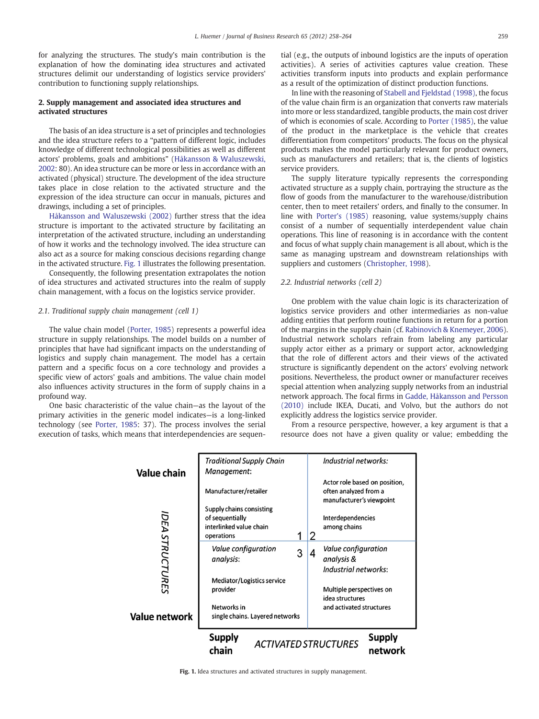for analyzing the structures. The study's main contribution is the explanation of how the dominating idea structures and activated structures delimit our understanding of logistics service providers' contribution to functioning supply relationships.

#### 2. Supply management and associated idea structures and activated structures

The basis of an idea structure is a set of principles and technologies and the idea structure refers to a "pattern of different logic, includes knowledge of different technological possibilities as well as different actors' problems, goals and ambitions" ([Håkansson & Waluszewski,](#page--1-0) [2002:](#page--1-0) 80). An idea structure can be more or less in accordance with an activated (physical) structure. The development of the idea structure takes place in close relation to the activated structure and the expression of the idea structure can occur in manuals, pictures and drawings, including a set of principles.

[Håkansson and Waluszewski \(2002\)](#page--1-0) further stress that the idea structure is important to the activated structure by facilitating an interpretation of the activated structure, including an understanding of how it works and the technology involved. The idea structure can also act as a source for making conscious decisions regarding change in the activated structure. Fig. 1 illustrates the following presentation.

Consequently, the following presentation extrapolates the notion of idea structures and activated structures into the realm of supply chain management, with a focus on the logistics service provider.

#### 2.1. Traditional supply chain management (cell 1)

The value chain model [\(Porter, 1985](#page--1-0)) represents a powerful idea structure in supply relationships. The model builds on a number of principles that have had significant impacts on the understanding of logistics and supply chain management. The model has a certain pattern and a specific focus on a core technology and provides a specific view of actors' goals and ambitions. The value chain model also influences activity structures in the form of supply chains in a profound way.

One basic characteristic of the value chain—as the layout of the primary activities in the generic model indicates—is a long-linked technology (see [Porter, 1985:](#page--1-0) 37). The process involves the serial execution of tasks, which means that interdependencies are sequential (e.g., the outputs of inbound logistics are the inputs of operation activities). A series of activities captures value creation. These activities transform inputs into products and explain performance as a result of the optimization of distinct production functions.

In line with the reasoning of [Stabell and Fjeldstad \(1998\),](#page--1-0) the focus of the value chain firm is an organization that converts raw materials into more or less standardized, tangible products, the main cost driver of which is economies of scale. According to [Porter \(1985\),](#page--1-0) the value of the product in the marketplace is the vehicle that creates differentiation from competitors' products. The focus on the physical products makes the model particularly relevant for product owners, such as manufacturers and retailers; that is, the clients of logistics service providers.

The supply literature typically represents the corresponding activated structure as a supply chain, portraying the structure as the flow of goods from the manufacturer to the warehouse/distribution center, then to meet retailers' orders, and finally to the consumer. In line with [Porter's \(1985\)](#page--1-0) reasoning, value systems/supply chains consist of a number of sequentially interdependent value chain operations. This line of reasoning is in accordance with the content and focus of what supply chain management is all about, which is the same as managing upstream and downstream relationships with suppliers and customers [\(Christopher, 1998\)](#page--1-0).

#### 2.2. Industrial networks (cell 2)

One problem with the value chain logic is its characterization of logistics service providers and other intermediaries as non-value adding entities that perform routine functions in return for a portion of the margins in the supply chain (cf. [Rabinovich & Knemeyer, 2006](#page--1-0)). Industrial network scholars refrain from labeling any particular supply actor either as a primary or support actor, acknowledging that the role of different actors and their views of the activated structure is significantly dependent on the actors' evolving network positions. Nevertheless, the product owner or manufacturer receives special attention when analyzing supply networks from an industrial network approach. The focal firms in [Gadde, Håkansson and Persson](#page--1-0) [\(2010\)](#page--1-0) include IKEA, Ducati, and Volvo, but the authors do not explicitly address the logistics service provider.

From a resource perspective, however, a key argument is that a resource does not have a given quality or value; embedding the



Fig. 1. Idea structures and activated structures in supply management.